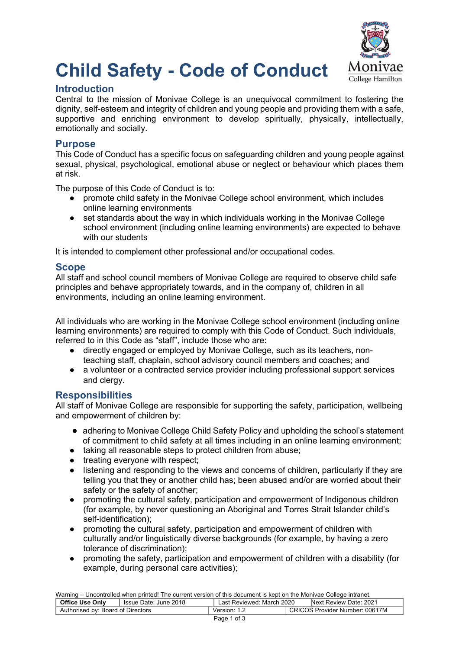

# **Child Safety - Code of Conduct**

## **Introduction**

Central to the mission of Monivae College is an unequivocal commitment to fostering the dignity, self-esteem and integrity of children and young people and providing them with a safe, supportive and enriching environment to develop spiritually, physically, intellectually, emotionally and socially.

## **Purpose**

This Code of Conduct has a specific focus on safeguarding children and young people against sexual, physical, psychological, emotional abuse or neglect or behaviour which places them at risk.

The purpose of this Code of Conduct is to:

- promote child safety in the Monivae College school environment, which includes online learning environments
- set standards about the way in which individuals working in the Monivae College school environment (including online learning environments) are expected to behave with our students

It is intended to complement other professional and/or occupational codes.

## **Scope**

All staff and school council members of Monivae College are required to observe child safe principles and behave appropriately towards, and in the company of, children in all environments, including an online learning environment.

All individuals who are working in the Monivae College school environment (including online learning environments) are required to comply with this Code of Conduct. Such individuals, referred to in this Code as "staff", include those who are:

- directly engaged or employed by Monivae College, such as its teachers, nonteaching staff, chaplain, school advisory council members and coaches; and
- a volunteer or a contracted service provider including professional support services and clergy.

# **Responsibilities**

All staff of Monivae College are responsible for supporting the safety, participation, wellbeing and empowerment of children by:

- adhering to Monivae College Child Safety Policy and upholding the school's statement of commitment to child safety at all times including in an online learning environment;
- taking all reasonable steps to protect children from abuse;
- treating everyone with respect:
- listening and responding to the views and concerns of children, particularly if they are telling you that they or another child has; been abused and/or are worried about their safety or the safety of another;
- promoting the cultural safety, participation and empowerment of Indigenous children (for example, by never questioning an Aboriginal and Torres Strait Islander child's self-identification);
- promoting the cultural safety, participation and empowerment of children with culturally and/or linguistically diverse backgrounds (for example, by having a zero tolerance of discrimination);
- promoting the safety, participation and empowerment of children with a disability (for example, during personal care activities);

Warning – Uncontrolled when printed! The current version of this document is kept on the Monivae College intranet. **Office Use Only** | Issue Date: June 2018 | Last Reviewed: March 2020 | Next Review Date: 2021

| <b>Office Use Only</b>            | Issue Date: June 2018 | Last Reviewed: March 2020 | Next Review Date: 2021                |  |
|-----------------------------------|-----------------------|---------------------------|---------------------------------------|--|
| Authorised by: Board of Directors |                       | Version: 1                | <b>CRICOS Provider Number: 00617M</b> |  |
|                                   |                       | 1 of 3<br>Page            |                                       |  |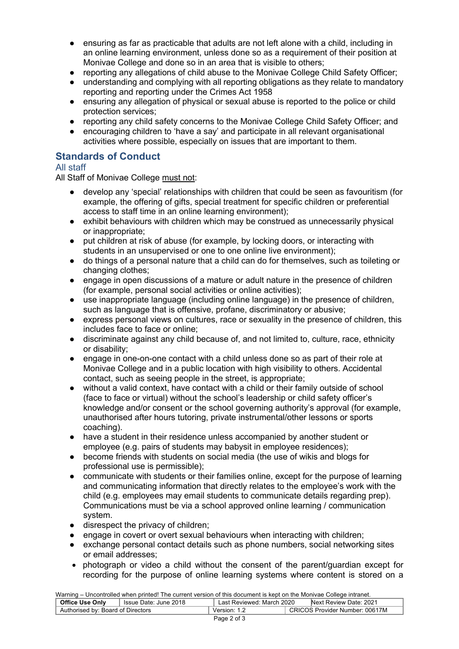- ensuring as far as practicable that adults are not left alone with a child, including in an online learning environment, unless done so as a requirement of their position at Monivae College and done so in an area that is visible to others;
- reporting any allegations of child abuse to the Monivae College Child Safety Officer;
- understanding and complying with all reporting obligations as they relate to mandatory reporting and reporting under the Crimes Act 1958
- ensuring any allegation of physical or sexual abuse is reported to the police or child protection services;
- reporting any child safety concerns to the Monivae College Child Safety Officer; and
- encouraging children to 'have a say' and participate in all relevant organisational activities where possible, especially on issues that are important to them.

# **Standards of Conduct**

## All staff

All Staff of Monivae College must not:

- develop any 'special' relationships with children that could be seen as favouritism (for example, the offering of gifts, special treatment for specific children or preferential access to staff time in an online learning environment);
- exhibit behaviours with children which may be construed as unnecessarily physical or inappropriate;
- put children at risk of abuse (for example, by locking doors, or interacting with students in an unsupervised or one to one online live environment);
- do things of a personal nature that a child can do for themselves, such as toileting or changing clothes;
- engage in open discussions of a mature or adult nature in the presence of children (for example, personal social activities or online activities);
- use inappropriate language (including online language) in the presence of children, such as language that is offensive, profane, discriminatory or abusive;
- express personal views on cultures, race or sexuality in the presence of children, this includes face to face or online;
- discriminate against any child because of, and not limited to, culture, race, ethnicity or disability;
- engage in one-on-one contact with a child unless done so as part of their role at Monivae College and in a public location with high visibility to others. Accidental contact, such as seeing people in the street, is appropriate;
- without a valid context, have contact with a child or their family outside of school (face to face or virtual) without the school's leadership or child safety officer's knowledge and/or consent or the school governing authority's approval (for example, unauthorised after hours tutoring, private instrumental/other lessons or sports coaching).
- have a student in their residence unless accompanied by another student or employee (e.g. pairs of students may babysit in employee residences);
- become friends with students on social media (the use of wikis and blogs for professional use is permissible);
- communicate with students or their families online, except for the purpose of learning and communicating information that directly relates to the employee's work with the child (e.g. employees may email students to communicate details regarding prep). Communications must be via a school approved online learning / communication system.
- disrespect the privacy of children;
- engage in covert or overt sexual behaviours when interacting with children;
- exchange personal contact details such as phone numbers, social networking sites or email addresses;
- photograph or video a child without the consent of the parent/guardian except for recording for the purpose of online learning systems where content is stored on a

Warning – Uncontrolled when printed! The current version of this document is kept on the Monivae College intranet.

| <b>Office Use Only</b>            | Issue Date: June 2018 | Last Reviewed: March 2020 | Next Review Date: 2021         |  |
|-----------------------------------|-----------------------|---------------------------|--------------------------------|--|
| Authorised by: Board of Directors |                       | Version: 1.2              | CRICOS Provider Number: 00617M |  |
|                                   |                       | Page 2 of 3               |                                |  |